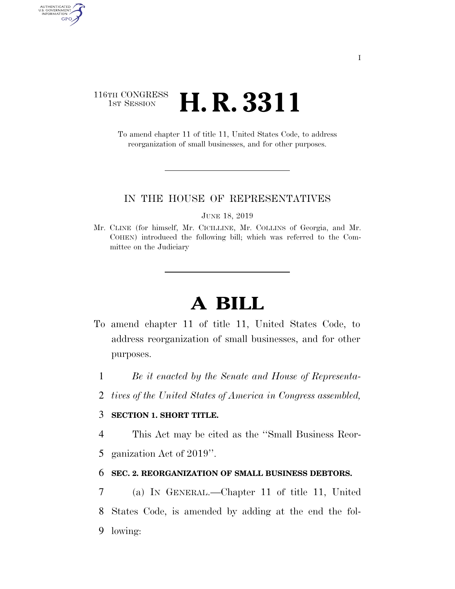## 116TH CONGRESS <sup>TH CONGRESS</sup> **H. R. 3311**

AUTHENTICATED<br>U.S. GOVERNMENT<br>INFORMATION GPO

> To amend chapter 11 of title 11, United States Code, to address reorganization of small businesses, and for other purposes.

#### IN THE HOUSE OF REPRESENTATIVES

JUNE 18, 2019

Mr. CLINE (for himself, Mr. CICILLINE, Mr. COLLINS of Georgia, and Mr. COHEN) introduced the following bill; which was referred to the Committee on the Judiciary

# **A BILL**

- To amend chapter 11 of title 11, United States Code, to address reorganization of small businesses, and for other purposes.
	- 1 *Be it enacted by the Senate and House of Representa-*
	- 2 *tives of the United States of America in Congress assembled,*

#### 3 **SECTION 1. SHORT TITLE.**

4 This Act may be cited as the ''Small Business Reor-

5 ganization Act of 2019''.

#### 6 **SEC. 2. REORGANIZATION OF SMALL BUSINESS DEBTORS.**

7 (a) IN GENERAL.—Chapter 11 of title 11, United 8 States Code, is amended by adding at the end the fol-9 lowing: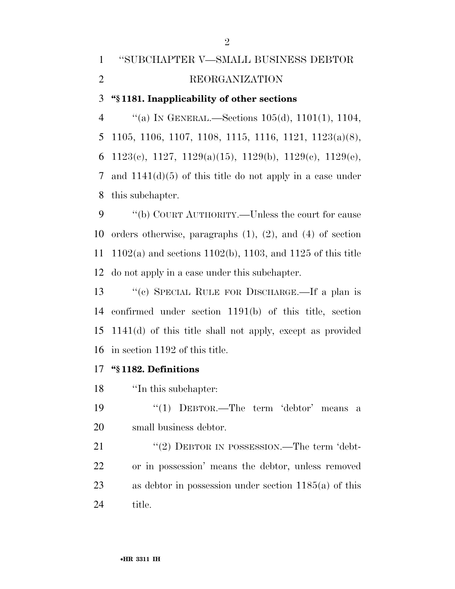# ''SUBCHAPTER V—SMALL BUSINESS DEBTOR REORGANIZATION

#### **''§ 1181. Inapplicability of other sections**

 ''(a) IN GENERAL.—Sections 105(d), 1101(1), 1104, 1105, 1106, 1107, 1108, 1115, 1116, 1121, 1123(a)(8), 1123(c), 1127, 1129(a)(15), 1129(b), 1129(c), 1129(e), and 1141(d)(5) of this title do not apply in a case under this subchapter.

 ''(b) COURT AUTHORITY.—Unless the court for cause orders otherwise, paragraphs (1), (2), and (4) of section 1102(a) and sections 1102(b), 1103, and 1125 of this title do not apply in a case under this subchapter.

 ''(c) SPECIAL RULE FOR DISCHARGE.—If a plan is confirmed under section 1191(b) of this title, section 1141(d) of this title shall not apply, except as provided in section 1192 of this title.

#### **''§ 1182. Definitions**

''In this subchapter:

 ''(1) DEBTOR.—The term 'debtor' means a small business debtor.

21 "(2) DEBTOR IN POSSESSION.—The term 'debt- or in possession' means the debtor, unless removed as debtor in possession under section 1185(a) of this title.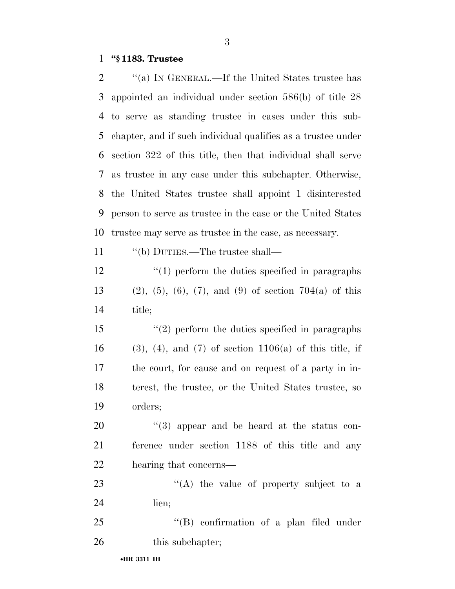### **''§ 1183. Trustee**

| 2  | "(a) IN GENERAL.—If the United States trustee has                  |
|----|--------------------------------------------------------------------|
| 3  | appointed an individual under section $586(b)$ of title 28         |
| 4  | to serve as standing trustee in cases under this sub-              |
| 5  | chapter, and if such individual qualifies as a trustee under       |
| 6  | section 322 of this title, then that individual shall serve        |
| 7  | as trustee in any case under this subchapter. Otherwise,           |
| 8  | the United States trustee shall appoint 1 disinterested            |
| 9  | person to serve as trustee in the case or the United States        |
| 10 | trustee may serve as trustee in the case, as necessary.            |
| 11 | "(b) DUTIES.—The trustee shall—                                    |
| 12 | $\lq(1)$ perform the duties specified in paragraphs                |
| 13 | $(2), (5), (6), (7), \text{ and } (9)$ of section $704(a)$ of this |
| 14 | title;                                                             |
| 15 | $\lq(2)$ perform the duties specified in paragraphs                |
| 16 | $(3)$ , $(4)$ , and $(7)$ of section 1106(a) of this title, if     |
| 17 | the court, for cause and on request of a party in in-              |
| 18 | terest, the trustee, or the United States trustee, so              |
| 19 | orders;                                                            |
| 20 | $(3)$ appear and be heard at the status con-                       |
| 21 | ference under section 1188 of this title and any                   |
| 22 | hearing that concerns—                                             |
| 23 | "(A) the value of property subject to a                            |
| 24 | lien;                                                              |
| 25 | $\lq\lq$ confirmation of a plan filed under                        |
| 26 | this subchapter;                                                   |
|    |                                                                    |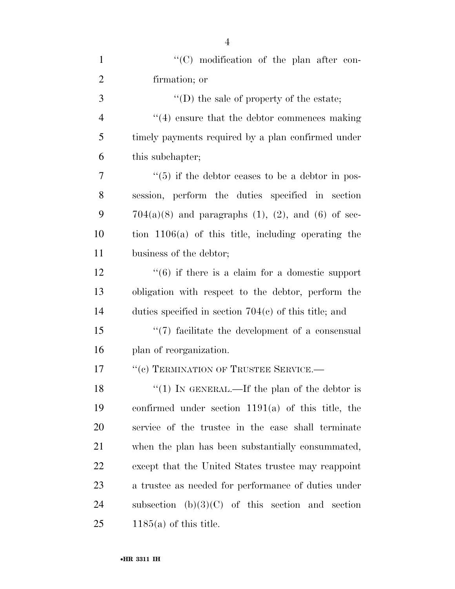| $\mathbf{1}$   | "(C) modification of the plan after con-                        |
|----------------|-----------------------------------------------------------------|
| $\overline{2}$ | firmation; or                                                   |
| 3              | $\lq\lq$ (D) the sale of property of the estate;                |
| $\overline{4}$ | $\cdot$ (4) ensure that the debtor commences making             |
| 5              | timely payments required by a plan confirmed under              |
| 6              | this subchapter;                                                |
| 7              | $\cdot\cdot$ (5) if the debtor ceases to be a debtor in pos-    |
| 8              | session, perform the duties specified in section                |
| 9              | $704(a)(8)$ and paragraphs $(1)$ , $(2)$ , and $(6)$ of sec-    |
| 10             | tion $1106(a)$ of this title, including operating the           |
| 11             | business of the debtor;                                         |
| 12             | $\cdot\cdot\cdot(6)$ if there is a claim for a domestic support |
| 13             | obligation with respect to the debtor, perform the              |
| 14             | duties specified in section $704(c)$ of this title; and         |
| 15             | $\lq(7)$ facilitate the development of a consensual             |
| 16             | plan of reorganization.                                         |
| 17             | "(c) TERMINATION OF TRUSTEE SERVICE.-                           |
| 18             | "(1) IN GENERAL.—If the plan of the debtor is                   |
| 19             | confirmed under section $1191(a)$ of this title, the            |
| 20             | service of the trustee in the case shall terminate              |
| 21             | when the plan has been substantially consummated,               |
| <u>22</u>      | except that the United States trustee may reappoint             |
| 23             | a trustee as needed for performance of duties under             |
| 24             | subsection $(b)(3)(C)$ of this section and section              |
| 25             | $1185(a)$ of this title.                                        |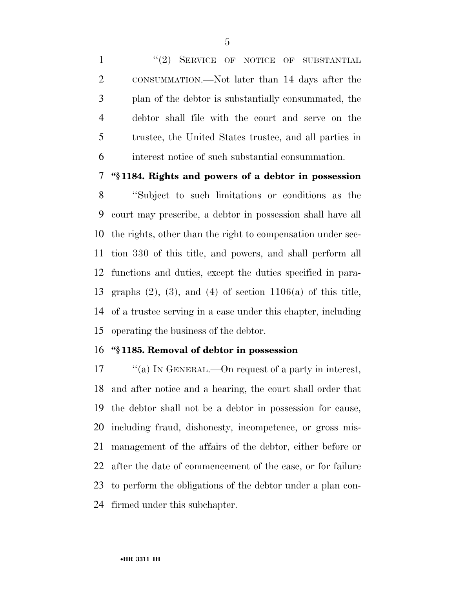1 "(2) SERVICE OF NOTICE OF SUBSTANTIAL CONSUMMATION.—Not later than 14 days after the plan of the debtor is substantially consummated, the debtor shall file with the court and serve on the trustee, the United States trustee, and all parties in interest notice of such substantial consummation.

#### **''§ 1184. Rights and powers of a debtor in possession**

 ''Subject to such limitations or conditions as the court may prescribe, a debtor in possession shall have all the rights, other than the right to compensation under sec- tion 330 of this title, and powers, and shall perform all functions and duties, except the duties specified in para-13 graphs  $(2)$ ,  $(3)$ , and  $(4)$  of section 1106(a) of this title, of a trustee serving in a case under this chapter, including operating the business of the debtor.

#### **''§ 1185. Removal of debtor in possession**

17 "(a) IN GENERAL.—On request of a party in interest, and after notice and a hearing, the court shall order that the debtor shall not be a debtor in possession for cause, including fraud, dishonesty, incompetence, or gross mis- management of the affairs of the debtor, either before or after the date of commencement of the case, or for failure to perform the obligations of the debtor under a plan con-firmed under this subchapter.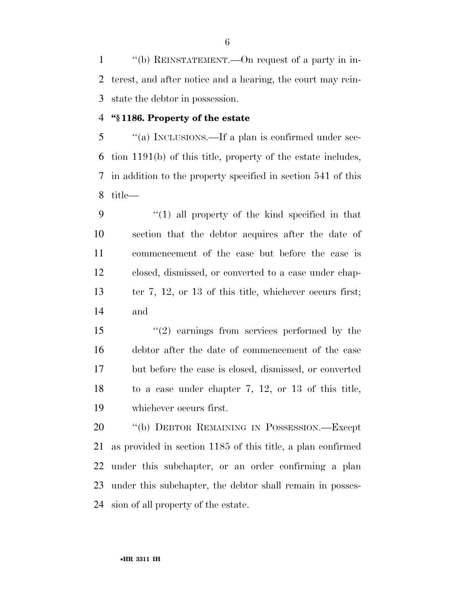''(b) REINSTATEMENT.—On request of a party in in- terest, and after notice and a hearing, the court may rein-state the debtor in possession.

#### **''§ 1186. Property of the estate**

 ''(a) INCLUSIONS.—If a plan is confirmed under sec- tion 1191(b) of this title, property of the estate includes, in addition to the property specified in section 541 of this title—

 ''(1) all property of the kind specified in that section that the debtor acquires after the date of commencement of the case but before the case is closed, dismissed, or converted to a case under chap-13 ter 7, 12, or 13 of this title, whichever occurs first; and

 ''(2) earnings from services performed by the debtor after the date of commencement of the case but before the case is closed, dismissed, or converted to a case under chapter 7, 12, or 13 of this title, whichever occurs first.

 ''(b) DEBTOR REMAINING IN POSSESSION.—Except as provided in section 1185 of this title, a plan confirmed under this subchapter, or an order confirming a plan under this subchapter, the debtor shall remain in posses-sion of all property of the estate.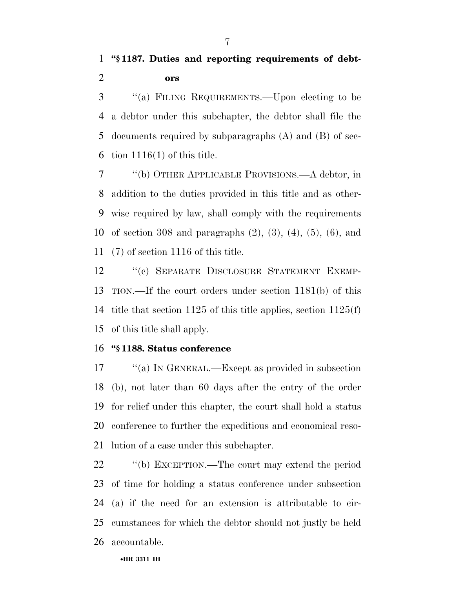''(a) FILING REQUIREMENTS.—Upon electing to be a debtor under this subchapter, the debtor shall file the documents required by subparagraphs (A) and (B) of sec-6 tion  $1116(1)$  of this title.

 ''(b) OTHER APPLICABLE PROVISIONS.—A debtor, in addition to the duties provided in this title and as other- wise required by law, shall comply with the requirements of section 308 and paragraphs (2), (3), (4), (5), (6), and (7) of section 1116 of this title.

12 "(c) SEPARATE DISCLOSURE STATEMENT EXEMP- TION.—If the court orders under section 1181(b) of this title that section 1125 of this title applies, section 1125(f) of this title shall apply.

#### **''§ 1188. Status conference**

17 "(a) IN GENERAL.—Except as provided in subsection (b), not later than 60 days after the entry of the order for relief under this chapter, the court shall hold a status conference to further the expeditious and economical reso-lution of a case under this subchapter.

 ''(b) EXCEPTION.—The court may extend the period of time for holding a status conference under subsection (a) if the need for an extension is attributable to cir- cumstances for which the debtor should not justly be held accountable.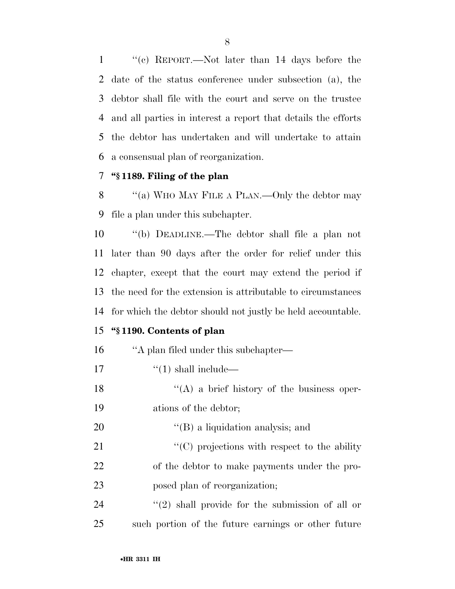''(c) REPORT.—Not later than 14 days before the date of the status conference under subsection (a), the debtor shall file with the court and serve on the trustee and all parties in interest a report that details the efforts the debtor has undertaken and will undertake to attain a consensual plan of reorganization.

#### **''§ 1189. Filing of the plan**

8 "(a) WHO MAY FILE A PLAN.—Only the debtor may file a plan under this subchapter.

 ''(b) DEADLINE.—The debtor shall file a plan not later than 90 days after the order for relief under this chapter, except that the court may extend the period if the need for the extension is attributable to circumstances for which the debtor should not justly be held accountable.

#### **''§ 1190. Contents of plan**

- ''A plan filed under this subchapter—
- 17  $\frac{1}{2}$   $\frac{1}{2}$  shall include—
- 18 ''(A) a brief history of the business oper-ations of the debtor;
- 
- 20  $(1)$  a liquidation analysis; and
- 21  $\cdot$  (C) projections with respect to the ability of the debtor to make payments under the pro-posed plan of reorganization;
- 24 ''(2) shall provide for the submission of all or such portion of the future earnings or other future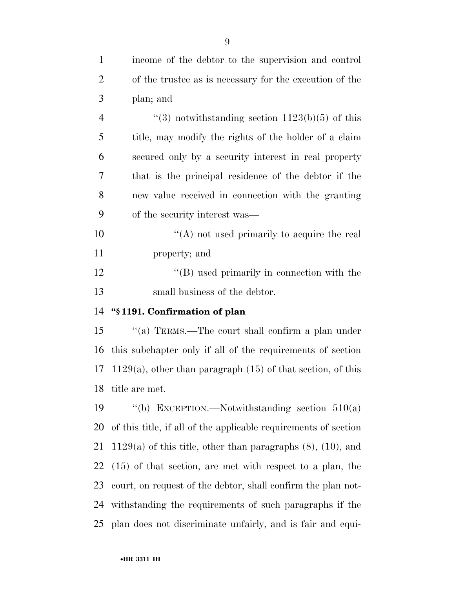| $\mathbf{1}$   | income of the debtor to the supervision and control                 |
|----------------|---------------------------------------------------------------------|
| $\overline{2}$ | of the trustee as is necessary for the execution of the             |
| 3              | plan; and                                                           |
| $\overline{4}$ | "(3) notwithstanding section $1123(b)(5)$ of this                   |
| 5              | title, may modify the rights of the holder of a claim               |
| 6              | secured only by a security interest in real property                |
| 7              | that is the principal residence of the debtor if the                |
| 8              | new value received in connection with the granting                  |
| 9              | of the security interest was—                                       |
| 10             | "(A) not used primarily to acquire the real                         |
| 11             | property; and                                                       |
| 12             | $\lq\lq (B)$ used primarily in connection with the                  |
| 13             | small business of the debtor.                                       |
|                |                                                                     |
|                | "§1191. Confirmation of plan                                        |
|                | "(a) TERMS.—The court shall confirm a plan under                    |
| 14<br>15<br>16 | this subchapter only if all of the requirements of section          |
|                | $1129(a)$ , other than paragraph $(15)$ of that section, of this    |
| 17             | 18 title are met.                                                   |
| 19             | "(b) EXCEPTION.—Notwithstanding section $510(a)$                    |
| 20             | of this title, if all of the applicable requirements of section     |
| 21             | $1129(a)$ of this title, other than paragraphs $(8)$ , $(10)$ , and |
| 22             | $(15)$ of that section, are met with respect to a plan, the         |
| 23             | court, on request of the debtor, shall confirm the plan not-        |

plan does not discriminate unfairly, and is fair and equi-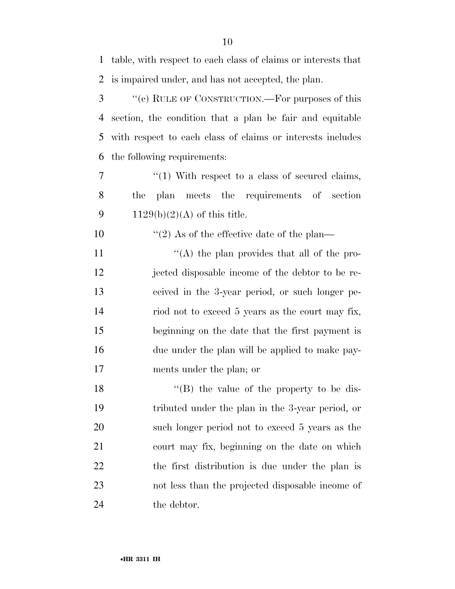| 1              | table, with respect to each class of claims or interests that |
|----------------|---------------------------------------------------------------|
| 2              | is impaired under, and has not accepted, the plan.            |
| 3              | "(c) RULE OF CONSTRUCTION.—For purposes of this               |
| $\overline{4}$ | section, the condition that a plan be fair and equitable      |
| 5              | with respect to each class of claims or interests includes    |
| 6              | the following requirements:                                   |
| 7              | $\lq(1)$ With respect to a class of secured claims,           |
| 8              | plan meets the requirements of section<br>the                 |
| 9              | $1129(b)(2)(A)$ of this title.                                |
| 10             | "(2) As of the effective date of the plan—                    |
| 11             | "(A) the plan provides that all of the pro-                   |
| 12             | jected disposable income of the debtor to be re-              |
| 13             | ceived in the 3-year period, or such longer pe-               |
| 14             | riod not to exceed 5 years as the court may fix,              |
| 15             | beginning on the date that the first payment is               |
| 16             | due under the plan will be applied to make pay-               |
| 17             | ments under the plan; or                                      |
| 18             | "(B) the value of the property to be dis-                     |
| 19             | tributed under the plan in the 3-year period, or              |
| 20             | such longer period not to exceed 5 years as the               |
| 21             | court may fix, beginning on the date on which                 |
| 22             | the first distribution is due under the plan is               |
| 23             | not less than the projected disposable income of              |
| 24             | the debtor.                                                   |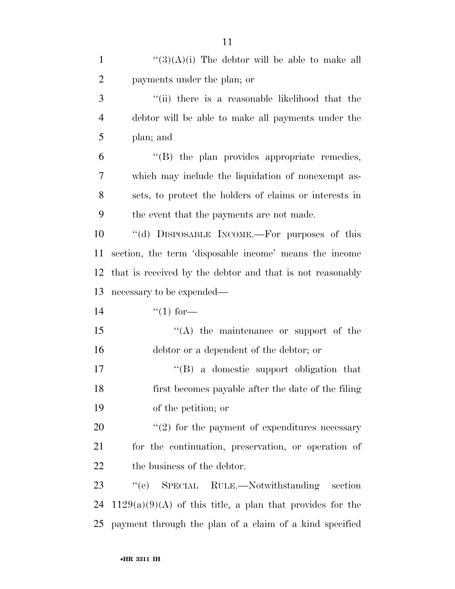| $\mathbf{1}$   | " $(3)(A)(i)$ The debtor will be able to make all           |
|----------------|-------------------------------------------------------------|
| $\overline{2}$ | payments under the plan; or                                 |
| 3              | "(ii) there is a reasonable likelihood that the             |
| 4              | debtor will be able to make all payments under the          |
| 5              | plan; and                                                   |
| 6              | "(B) the plan provides appropriate remedies,                |
| $\overline{7}$ | which may include the liquidation of nonexempt as-          |
| 8              | sets, to protect the holders of claims or interests in      |
| 9              | the event that the payments are not made.                   |
| 10             | "(d) DISPOSABLE INCOME.—For purposes of this                |
| 11             | section, the term 'disposable income' means the income      |
| 12             | that is received by the debtor and that is not reasonably   |
| 13             | necessary to be expended—                                   |
| 14             | $\lq(1)$ for—                                               |
| 15             | $\lq\lq$ the maintenance or support of the                  |
| 16             | debtor or a dependent of the debtor; or                     |
| 17             | $\lq\lq(B)$ a domestic support obligation that              |
| 18             | first becomes payable after the date of the filing          |
| 19             | of the petition; or                                         |
| 20             | $\lq(2)$ for the payment of expenditures necessary          |
| 21             | for the continuation, preservation, or operation of         |
| 22             | the business of the debtor.                                 |
| 23             | ``(e)<br>SPECIAL RULE.—Notwithstanding section              |
| 24             | $1129(a)(9)(A)$ of this title, a plan that provides for the |
| 25             | payment through the plan of a claim of a kind specified     |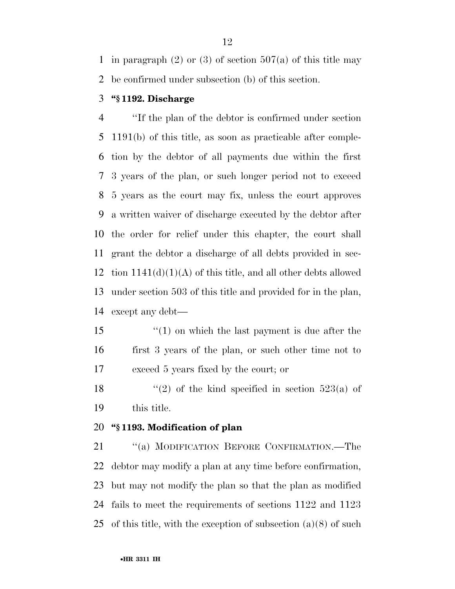1 in paragraph (2) or (3) of section  $507(a)$  of this title may be confirmed under subsection (b) of this section.

#### **''§ 1192. Discharge**

 ''If the plan of the debtor is confirmed under section 1191(b) of this title, as soon as practicable after comple- tion by the debtor of all payments due within the first 3 years of the plan, or such longer period not to exceed 5 years as the court may fix, unless the court approves a written waiver of discharge executed by the debtor after the order for relief under this chapter, the court shall grant the debtor a discharge of all debts provided in sec-12 tion  $1141(d)(1)(A)$  of this title, and all other debts allowed under section 503 of this title and provided for in the plan, except any debt—

 ''(1) on which the last payment is due after the first 3 years of the plan, or such other time not to exceed 5 years fixed by the court; or

18  $\frac{12}{2}$  of the kind specified in section 523(a) of this title.

#### **''§ 1193. Modification of plan**

21 "(a) MODIFICATION BEFORE CONFIRMATION.—The debtor may modify a plan at any time before confirmation, but may not modify the plan so that the plan as modified fails to meet the requirements of sections 1122 and 1123 of this title, with the exception of subsection (a)(8) of such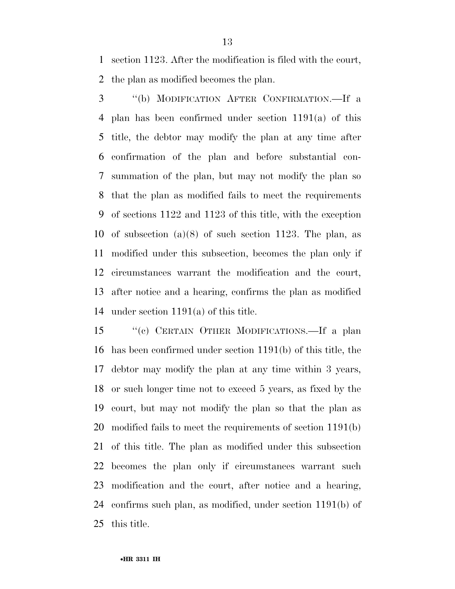section 1123. After the modification is filed with the court, the plan as modified becomes the plan.

 ''(b) MODIFICATION AFTER CONFIRMATION.—If a plan has been confirmed under section 1191(a) of this title, the debtor may modify the plan at any time after confirmation of the plan and before substantial con- summation of the plan, but may not modify the plan so that the plan as modified fails to meet the requirements of sections 1122 and 1123 of this title, with the exception of subsection (a)(8) of such section 1123. The plan, as modified under this subsection, becomes the plan only if circumstances warrant the modification and the court, after notice and a hearing, confirms the plan as modified under section 1191(a) of this title.

 ''(c) CERTAIN OTHER MODIFICATIONS.—If a plan has been confirmed under section 1191(b) of this title, the debtor may modify the plan at any time within 3 years, or such longer time not to exceed 5 years, as fixed by the court, but may not modify the plan so that the plan as modified fails to meet the requirements of section 1191(b) of this title. The plan as modified under this subsection becomes the plan only if circumstances warrant such modification and the court, after notice and a hearing, confirms such plan, as modified, under section 1191(b) of this title.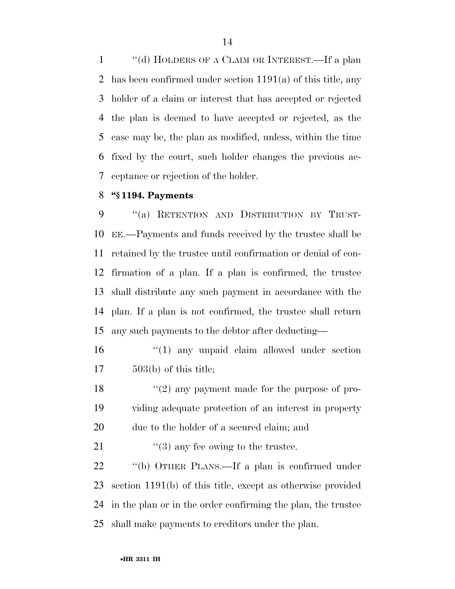''(d) HOLDERS OF A CLAIM OR INTEREST.—If a plan has been confirmed under section 1191(a) of this title, any holder of a claim or interest that has accepted or rejected the plan is deemed to have accepted or rejected, as the case may be, the plan as modified, unless, within the time fixed by the court, such holder changes the previous ac-ceptance or rejection of the holder.

#### **''§ 1194. Payments**

 ''(a) RETENTION AND DISTRIBUTION BY TRUST- EE.—Payments and funds received by the trustee shall be retained by the trustee until confirmation or denial of con- firmation of a plan. If a plan is confirmed, the trustee shall distribute any such payment in accordance with the plan. If a plan is not confirmed, the trustee shall return any such payments to the debtor after deducting—

16  $\frac{1}{2}$  (1) any unpaid claim allowed under section 503(b) of this title;

18 ''(2) any payment made for the purpose of pro- viding adequate protection of an interest in property due to the holder of a secured claim; and

21  $\frac{1}{2}$  (3) any fee owing to the trustee.

 ''(b) OTHER PLANS.—If a plan is confirmed under section 1191(b) of this title, except as otherwise provided in the plan or in the order confirming the plan, the trustee shall make payments to creditors under the plan.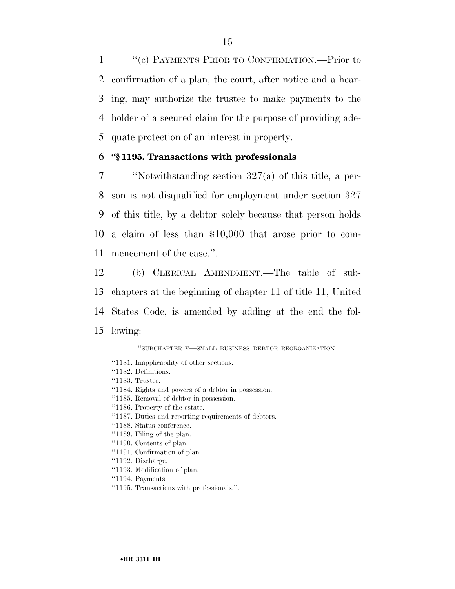''(c) PAYMENTS PRIOR TO CONFIRMATION.—Prior to confirmation of a plan, the court, after notice and a hear- ing, may authorize the trustee to make payments to the holder of a secured claim for the purpose of providing ade-quate protection of an interest in property.

#### 6 **''§ 1195. Transactions with professionals**

 ''Notwithstanding section 327(a) of this title, a per- son is not disqualified for employment under section 327 of this title, by a debtor solely because that person holds a claim of less than \$10,000 that arose prior to com-mencement of the case.''.

 (b) CLERICAL AMENDMENT.—The table of sub- chapters at the beginning of chapter 11 of title 11, United States Code, is amended by adding at the end the fol-15 lowing:

''SUBCHAPTER V—SMALL BUSINESS DEBTOR REORGANIZATION

- ''1181. Inapplicability of other sections.
- ''1182. Definitions.
- "1183. Trustee.
- ''1184. Rights and powers of a debtor in possession.
- ''1185. Removal of debtor in possession.
- ''1186. Property of the estate.
- ''1187. Duties and reporting requirements of debtors.
- ''1188. Status conference.
- ''1189. Filing of the plan.
- ''1190. Contents of plan.
- ''1191. Confirmation of plan.
- ''1192. Discharge.
- ''1193. Modification of plan.
- ''1194. Payments.
- ''1195. Transactions with professionals.''.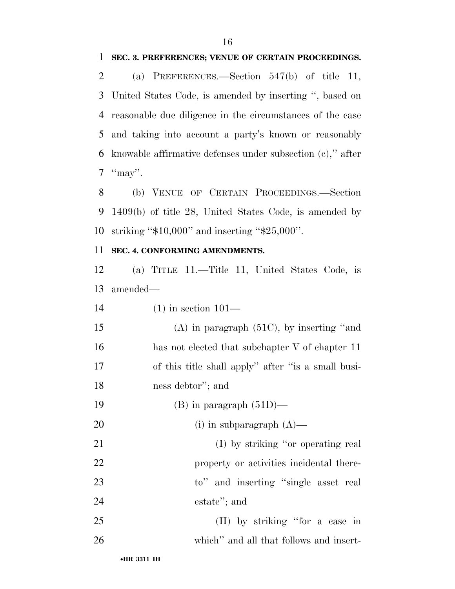#### **SEC. 3. PREFERENCES; VENUE OF CERTAIN PROCEEDINGS.**

 (a) PREFERENCES.—Section 547(b) of title 11, United States Code, is amended by inserting '', based on reasonable due diligence in the circumstances of the case and taking into account a party's known or reasonably knowable affirmative defenses under subsection (c),'' after  $\text{``may''}.$ 

 (b) VENUE OF CERTAIN PROCEEDINGS.—Section 1409(b) of title 28, United States Code, is amended by striking ''\$10,000'' and inserting ''\$25,000''.

#### **SEC. 4. CONFORMING AMENDMENTS.**

 (a) TITLE 11.—Title 11, United States Code, is amended—

(1) in section 101—

 (A) in paragraph (51C), by inserting ''and 16 has not elected that subchapter V of chapter 11 of this title shall apply'' after ''is a small busi-ness debtor''; and

19 (B) in paragraph  $(51D)$ —

(i) in subparagraph (A)—

- (I) by striking ''or operating real 22 property or activities incidental there-23 to" and inserting "single asset real estate''; and
- (II) by striking ''for a case in which'' and all that follows and insert-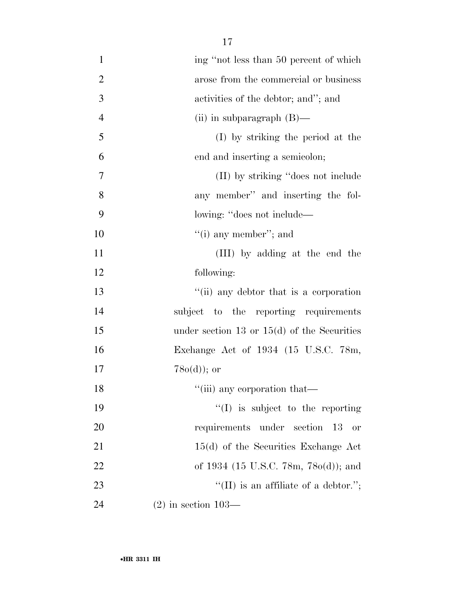| $\mathbf{1}$   | ing "not less than 50 percent of which        |
|----------------|-----------------------------------------------|
| $\overline{2}$ | arose from the commercial or business         |
| 3              | activities of the debtor; and"; and           |
| $\overline{4}$ | (ii) in subparagraph $(B)$ —                  |
| 5              | (I) by striking the period at the             |
| 6              | end and inserting a semicolon;                |
| 7              | (II) by striking "does not include"           |
| 8              | any member" and inserting the fol-            |
| 9              | lowing: "does not include—                    |
| 10             | $f'(i)$ any member"; and                      |
| 11             | (III) by adding at the end the                |
| 12             | following:                                    |
| 13             | "(ii) any debtor that is a corporation        |
| 14             | subject to the reporting requirements         |
| 15             | under section 13 or $15(d)$ of the Securities |
| 16             | Exchange Act of 1934 (15 U.S.C. 78m,          |
| 17             | $78o(d)$ ; or                                 |
| 18             | "(iii) any corporation that—                  |
| 19             | $\lq\lq$ is subject to the reporting          |
| 20             | requirements under section 13<br>or           |
| 21             | $15(d)$ of the Securities Exchange Act        |
| 22             | of 1934 (15 U.S.C. 78m, 78 $o(d)$ ); and      |
| 23             | "(II) is an affiliate of a debtor.";          |
| 24             | $(2)$ in section 103—                         |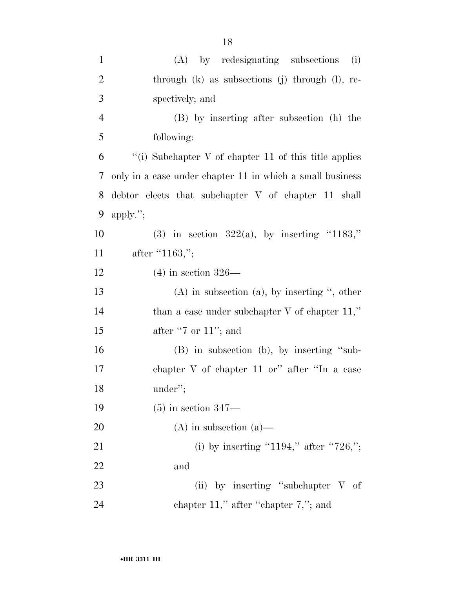| $\mathbf{1}$   | (A) by redesignating subsections<br>(i)                   |
|----------------|-----------------------------------------------------------|
| $\overline{2}$ | through $(k)$ as subsections $(j)$ through $(l)$ , re-    |
| 3              | spectively; and                                           |
| 4              | (B) by inserting after subsection (h) the                 |
| 5              | following:                                                |
| 6              | "(i) Subchapter V of chapter 11 of this title applies     |
| 7              | only in a case under chapter 11 in which a small business |
| 8              | debtor elects that subchapter V of chapter 11 shall       |
| 9              | apply.";                                                  |
| 10             | (3) in section $322(a)$ , by inserting "1183,"            |
| 11             | after $"1163,"$                                           |
| 12             | $(4)$ in section 326—                                     |
| 13             | $(A)$ in subsection $(a)$ , by inserting ", other         |
| 14             | than a case under subchapter V of chapter $11$ ,"         |
| 15             | after "7 or $11$ "; and                                   |
| 16             | $(B)$ in subsection $(b)$ , by inserting "sub-            |
| 17             | chapter V of chapter 11 or" after "In a case              |
| 18             | under";                                                   |
| 19             | $(5)$ in section 347—                                     |
| 20             | $(A)$ in subsection $(a)$ —                               |
| 21             | (i) by inserting "1194," after "726,";                    |
| 22             | and                                                       |
| 23             | (ii) by inserting "subchapter $V$ of                      |
| 24             | chapter $11$ ," after "chapter $7$ ,"; and                |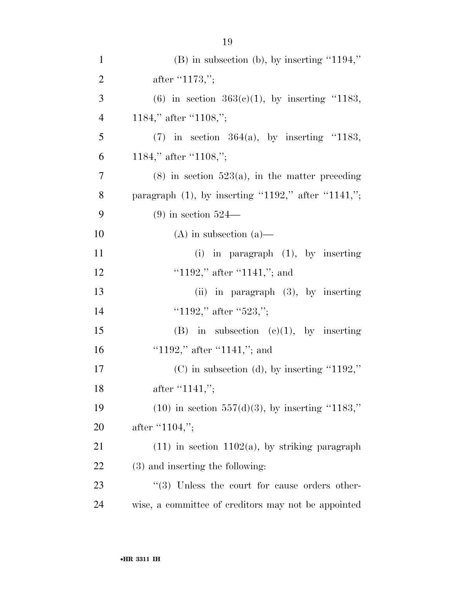| $\mathbf{1}$   | $(B)$ in subsection (b), by inserting "1194,"         |
|----------------|-------------------------------------------------------|
| $\overline{2}$ | after $"1173,"$                                       |
| 3              | $(6)$ in section $363(c)(1)$ , by inserting "1183,    |
| $\overline{4}$ | 1184," after "1108,";                                 |
| 5              | $(7)$ in section 364(a), by inserting "1183,          |
| 6              | 1184," after "1108,";                                 |
| $\overline{7}$ | $(8)$ in section 523(a), in the matter preceding      |
| 8              | paragraph $(1)$ , by inserting "1192," after "1141,"; |
| 9              | $(9)$ in section 524—                                 |
| 10             | $(A)$ in subsection $(a)$ —                           |
| 11             | $(i)$ in paragraph $(1)$ , by inserting               |
| 12             | "1192," after "1141,"; and                            |
| 13             | (ii) in paragraph $(3)$ , by inserting                |
| 14             | "1192," after "523,";                                 |
| 15             | $(B)$ in subsection $(e)(1)$ , by inserting           |
| 16             | "1192," after "1141,"; and                            |
| 17             | $(C)$ in subsection (d), by inserting "1192,"         |
| 18             | after "1141,";                                        |
| 19             | $(10)$ in section 557(d)(3), by inserting "1183,"     |
| 20             | after $"1104,"$ ;                                     |
| 21             | $(11)$ in section 1102(a), by striking paragraph      |
| 22             | (3) and inserting the following:                      |
| 23             | "(3) Unless the court for cause orders other-         |
| 24             | wise, a committee of creditors may not be appointed   |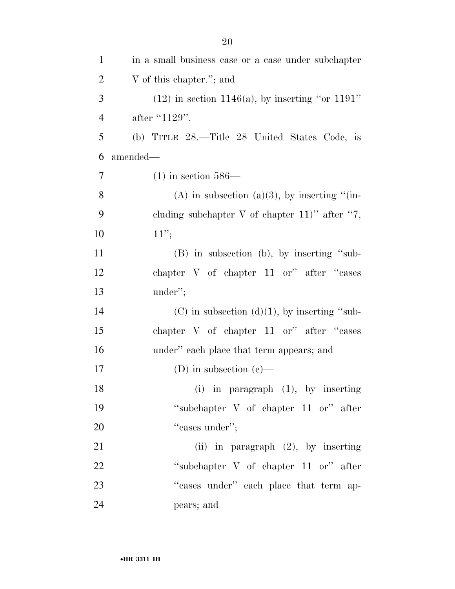| $\mathbf{1}$   | in a small business case or a case under subchapter |
|----------------|-----------------------------------------------------|
| $\overline{2}$ | V of this chapter."; and                            |
| 3              | $(12)$ in section 1146(a), by inserting "or 1191"   |
| $\overline{4}$ | after "1129".                                       |
| 5              | (b) TITLE 28.—Title 28 United States Code, is       |
| 6              | amended—                                            |
| 7              | $(1)$ in section 586—                               |
| 8              | (A) in subsection (a)(3), by inserting "(in-        |
| 9              | cluding subchapter V of chapter $11$ " after "7,    |
| 10             | 11";                                                |
| 11             | (B) in subsection (b), by inserting "sub-           |
| 12             | chapter V of chapter 11 or" after "cases"           |
| 13             | under";                                             |
| 14             | $(C)$ in subsection $(d)(1)$ , by inserting "sub-   |
| 15             | chapter V of chapter 11 or" after "cases            |
| 16             | under" each place that term appears; and            |
| 17             | (D) in subsection $(e)$ —                           |
| 18             | (i) in paragraph $(1)$ , by inserting               |
| 19             | "subchapter V of chapter 11 or" after               |
| 20             | "cases under";                                      |
| 21             | (ii) in paragraph $(2)$ , by inserting              |
| 22             | "subchapter $V$ of chapter 11 or" after             |
| 23             | "cases under" each place that term ap-              |
| 24             | pears; and                                          |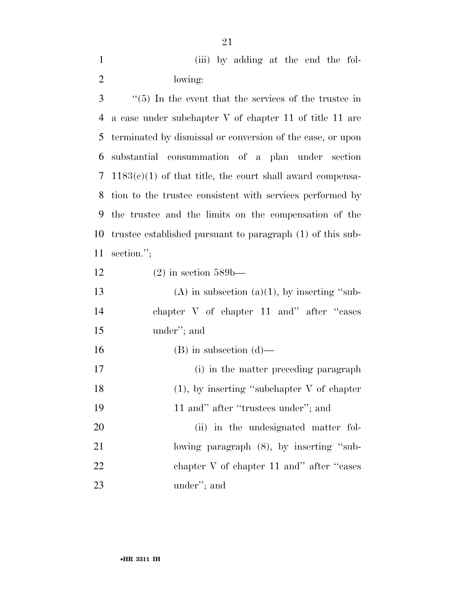(iii) by adding at the end the fol-lowing:

 ''(5) In the event that the services of the trustee in a case under subchapter V of chapter 11 of title 11 are terminated by dismissal or conversion of the case, or upon substantial consummation of a plan under section 1183(c)(1) of that title, the court shall award compensa- tion to the trustee consistent with services performed by the trustee and the limits on the compensation of the trustee established pursuant to paragraph (1) of this sub-section.'';

 (2) in section 589b— 13 (A) in subsection  $(a)(1)$ , by inserting "sub- chapter V of chapter 11 and'' after ''cases under''; and 16 (B) in subsection  $(d)$ — (i) in the matter preceding paragraph 18 (1), by inserting "subchapter V of chapter" 19 11 and" after "trustees under"; and 20 (ii) in the undesignated matter fol-21 lowing paragraph (8), by inserting "sub-22 chapter V of chapter 11 and" after "cases" under''; and

•**HR 3311 IH**